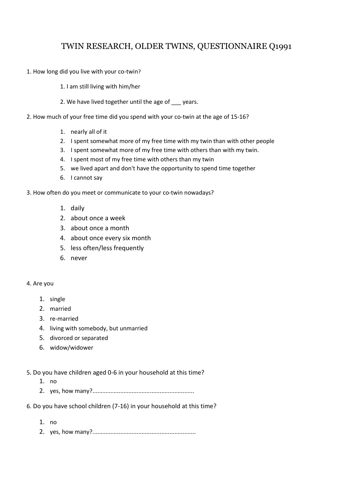# TWIN RESEARCH, OLDER TWINS, QUESTIONNAIRE Q1991

- 1. How long did you live with your co-twin?
	- 1. I am still living with him/her
	- 2. We have lived together until the age of \_\_\_ years.
- 2. How much of your free time did you spend with your co-twin at the age of 15-16?
	- 1. nearly all of it
	- 2. I spent somewhat more of my free time with my twin than with other people
	- 3. I spent somewhat more of my free time with others than with my twin.
	- 4. I spent most of my free time with others than my twin
	- 5. we lived apart and don't have the opportunity to spend time together
	- 6. I cannot say
- 3. How often do you meet or communicate to your co-twin nowadays?
	- 1. daily
	- 2. about once a week
	- 3. about once a month
	- 4. about once every six month
	- 5. less often/less frequently
	- 6. never

# 4. Are you

- 1. single
- 2. married
- 3. re-married
- 4. living with somebody, but unmarried
- 5. divorced or separated
- 6. widow/widower
- 5. Do you have children aged 0-6 in your household at this time?
	- 1. no
	- 2. yes, how many?..............................................................
- 6. Do you have school children (7-16) in your household at this time?
	- 1. no
	- 2. yes, how many?...............................................................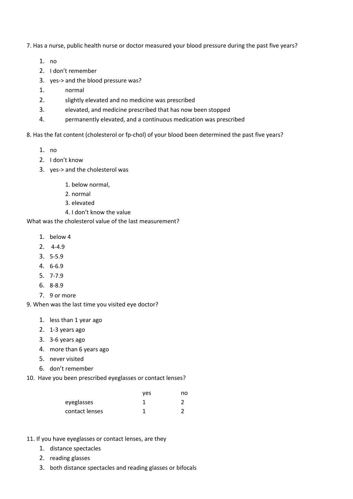7. Has a nurse, public health nurse or doctor measured your blood pressure during the past five years?

- 1. no
- 2. I don't remember
- 3. yes-> and the blood pressure was?
- 1. normal
- 2. slightly elevated and no medicine was prescribed
- 3. elevated, and medicine prescribed that has now been stopped
- 4. permanently elevated, and a continuous medication was prescribed
- 8. Has the fat content (cholesterol or fp-chol) of your blood been determined the past five years?
	- 1. no
	- 2. I don't know
	- 3. yes-> and the cholesterol was
		- 1. below normal,
		- 2. normal
		- 3. elevated
		- 4. I don't know the value

What was the cholesterol value of the last measurement?

- 1. below 4
- 2. 4-4.9
- 3. 5-5.9
- 4. 6-6.9
- 5. 7-7.9
- 6. 8-8.9
- 7. 9 or more

9. When was the last time you visited eye doctor?

- 1. less than 1 year ago
- 2. 1-3 years ago
- 3. 3-6 years ago
- 4. more than 6 years ago
- 5. never visited
- 6. don't remember
- 10. Have you been prescribed eyeglasses or contact lenses?

|                | ves | no |
|----------------|-----|----|
| eyeglasses     |     |    |
| contact lenses |     |    |

- 11. If you have eyeglasses or contact lenses, are they
	- 1. distance spectacles
	- 2. reading glasses
	- 3. both distance spectacles and reading glasses or bifocals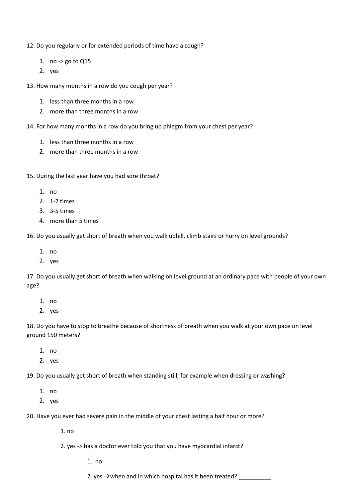12. Do you regularly or for extended periods of time have a cough?

- 1. no -> go to Q15
- 2. yes

13. How many months in a row do you cough per year?

- 1. less than three months in a row
- 2. more than three months in a row
- 14. For how many months in a row do you bring up phlegm from your chest per year?
	- 1. less than three months in a row
	- 2. more than three months in a row
- 15. During the last year have you had sore throat?
	- 1. no
	- 2. 1-2 times
	- 3. 3-5 times
	- 4. more than 5 times

16. Do you usually get short of breath when you walk uphill, climb stairs or hurry on level grounds?

- 1. no
- 2. yes

17. Do you usually get short of breath when walking on level ground at an ordinary pace with people of your own age?

- 1. no
- 2. yes

18. Do you have to stop to breathe because of shortness of breath when you walk at your own pace on level ground 150 meters?

- 1. no
- 2. yes

19. Do you usually get short of breath when standing still, for example when dressing or washing?

- 1. no
- 2. yes

20. Have you ever had severe pain in the middle of your chest lasting a half hour or more?

1. no

2. yes -> has a doctor ever told you that you have myocardial infarct?

1. no

2. yes  $\rightarrow$  when and in which hospital has it been treated?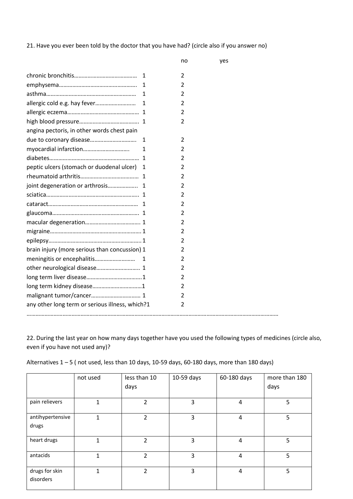21. Have you ever been told by the doctor that you have had? (circle also if you answer no)

|                                                 | no             | yes |  |
|-------------------------------------------------|----------------|-----|--|
| 1                                               | 2              |     |  |
| 1                                               | 2              |     |  |
| 1                                               | 2              |     |  |
| 1                                               | 2              |     |  |
|                                                 | $\overline{2}$ |     |  |
|                                                 | 2              |     |  |
| angina pectoris, in other words chest pain      |                |     |  |
| 1                                               | 2              |     |  |
| myocardial infarction<br>$\mathbf{1}$           | 2              |     |  |
|                                                 | 2              |     |  |
| peptic ulcers (stomach or duodenal ulcer) 1     | 2              |     |  |
|                                                 | $\overline{2}$ |     |  |
| joint degeneration or arthrosis 1               | 2              |     |  |
|                                                 | 2              |     |  |
|                                                 | 2              |     |  |
|                                                 | 2              |     |  |
|                                                 | 2              |     |  |
|                                                 | 2              |     |  |
|                                                 | 2              |     |  |
| brain injury (more serious than concussion) 1   | 2              |     |  |
|                                                 | 2              |     |  |
|                                                 | 2              |     |  |
|                                                 | 2              |     |  |
|                                                 | 2              |     |  |
|                                                 | 2              |     |  |
| any other long term or serious illness, which?1 | 2              |     |  |
|                                                 |                |     |  |

22. During the last year on how many days together have you used the following types of medicines (circle also, even if you have not used any)?

|  |  | Alternatives $1 - 5$ (not used, less than 10 days, 10-59 days, 60-180 days, more than 180 days) |  |  |
|--|--|-------------------------------------------------------------------------------------------------|--|--|
|--|--|-------------------------------------------------------------------------------------------------|--|--|

|                             | not used     | less than 10   | 10-59 days | 60-180 days             | more than 180 |
|-----------------------------|--------------|----------------|------------|-------------------------|---------------|
|                             |              | days           |            |                         | days          |
| pain relievers              | $\mathbf{1}$ | 2              | 3          | $\overline{\mathbf{4}}$ | 5             |
| antihypertensive<br>drugs   | 1            | 2              | 3          | $\overline{\mathbf{4}}$ | 5             |
| heart drugs                 | 1            | $\overline{2}$ | 3          | 4                       | 5             |
| antacids                    | $\mathbf{1}$ | $\overline{2}$ | 3          | $\overline{4}$          | 5             |
| drugs for skin<br>disorders | 1            | $\overline{2}$ | 3          | 4                       | 5             |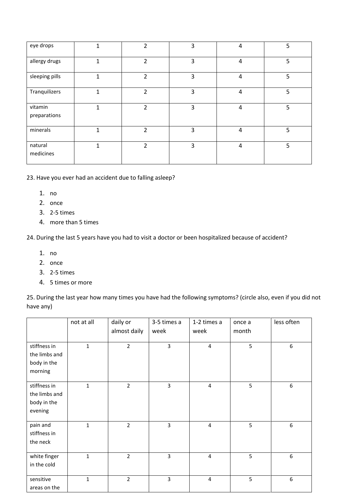| eye drops               |              | 2              | 3 | 4              | 5 |
|-------------------------|--------------|----------------|---|----------------|---|
| allergy drugs           | 1            | 2              | 3 | 4              | 5 |
| sleeping pills          | $\mathbf{1}$ | 2              | 3 | $\overline{4}$ | 5 |
| Tranquilizers           | 1            | $\mathfrak{p}$ | 3 | $\overline{4}$ | 5 |
| vitamin<br>preparations | 1            | $\overline{2}$ | 3 | $\overline{4}$ | 5 |
| minerals                | 1            | $\overline{2}$ | 3 | 4              | 5 |
| natural<br>medicines    | 1            | 2              | 3 | $\overline{4}$ | 5 |

23. Have you ever had an accident due to falling asleep?

- 1. no
- 2. once
- 3. 2-5 times
- 4. more than 5 times

24. During the last 5 years have you had to visit a doctor or been hospitalized because of accident?

- 1. no
- 2. once
- 3. 2-5 times
- 4. 5 times or more

25. During the last year how many times you have had the following symptoms? (circle also, even if you did not have any)

|                                                         | not at all   | daily or<br>almost daily | 3-5 times a<br>week | 1-2 times a<br>week | once a<br>month | less often |
|---------------------------------------------------------|--------------|--------------------------|---------------------|---------------------|-----------------|------------|
| stiffness in<br>the limbs and<br>body in the<br>morning | $\mathbf{1}$ | $\overline{2}$           | 3                   | $\overline{4}$      | 5               | 6          |
| stiffness in<br>the limbs and<br>body in the<br>evening | $\mathbf{1}$ | $\overline{2}$           | 3                   | $\overline{4}$      | 5               | 6          |
| pain and<br>stiffness in<br>the neck                    | $\mathbf{1}$ | $\overline{2}$           | $\overline{3}$      | $\overline{4}$      | 5               | 6          |
| white finger<br>in the cold                             | $\mathbf{1}$ | $\overline{2}$           | 3                   | $\overline{4}$      | 5               | 6          |
| sensitive<br>areas on the                               | $\mathbf{1}$ | $\overline{2}$           | 3                   | $\overline{4}$      | 5               | 6          |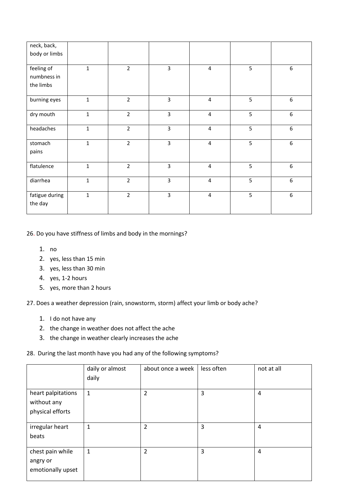| neck, back,<br>body or limbs           |              |                |                |                         |            |                  |
|----------------------------------------|--------------|----------------|----------------|-------------------------|------------|------------------|
| feeling of<br>numbness in<br>the limbs | $\mathbf{1}$ | $\overline{2}$ | $\overline{3}$ | $\overline{4}$          | 5          | 6                |
| burning eyes                           | $\mathbf 1$  | $\overline{2}$ | 3              | $\overline{4}$          | $\sqrt{5}$ | 6                |
| dry mouth                              | $\mathbf{1}$ | $\overline{2}$ | 3              | $\overline{\mathbf{4}}$ | 5          | 6                |
| headaches                              | $\mathbf{1}$ | $\overline{2}$ | 3              | $\overline{\mathbf{4}}$ | 5          | 6                |
| stomach<br>pains                       | $\mathbf{1}$ | $\overline{2}$ | 3              | $\overline{\mathbf{4}}$ | 5          | $\boldsymbol{6}$ |
| flatulence                             | $\mathbf{1}$ | $\overline{2}$ | 3              | $\overline{4}$          | 5          | 6                |
| diarrhea                               | $\mathbf{1}$ | $\overline{2}$ | $\overline{3}$ | $\overline{4}$          | 5          | 6                |
| fatigue during<br>the day              | $\mathbf{1}$ | $\overline{2}$ | 3              | $\overline{\mathbf{4}}$ | 5          | 6                |

26. Do you have stiffness of limbs and body in the mornings?

- 1. no
- 2. yes, less than 15 min
- 3. yes, less than 30 min
- 4. yes, 1-2 hours
- 5. yes, more than 2 hours

27. Does a weather depression (rain, snowstorm, storm) affect your limb or body ache?

- 1. I do not have any
- 2. the change in weather does not affect the ache
- 3. the change in weather clearly increases the ache

# 28. During the last month have you had any of the following symptoms?

|                                                       | daily or almost<br>daily | about once a week | less often | not at all     |
|-------------------------------------------------------|--------------------------|-------------------|------------|----------------|
| heart palpitations<br>without any<br>physical efforts | $\mathbf{1}$             | 2                 | 3          | $\overline{4}$ |
| irregular heart<br>beats                              | 1                        | $\overline{2}$    | 3          | 4              |
| chest pain while<br>angry or<br>emotionally upset     | $\mathbf{1}$             | $\overline{2}$    | 3          | $\overline{4}$ |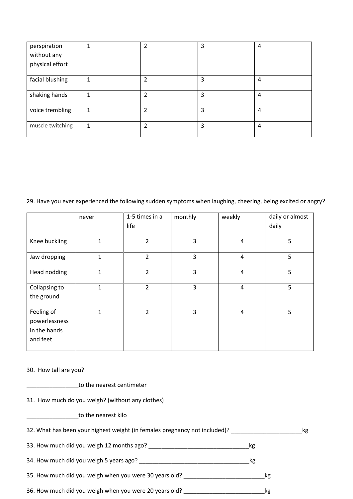| perspiration     | 1 | ົາ             | 3 | 4 |
|------------------|---|----------------|---|---|
| without any      |   |                |   |   |
| physical effort  |   |                |   |   |
|                  |   |                |   |   |
| facial blushing  | 1 | 2              | 3 | 4 |
|                  |   |                |   |   |
| shaking hands    | 1 | 2              | 3 | 4 |
|                  |   |                |   |   |
| voice trembling  | 1 | $\overline{2}$ | 3 | 4 |
|                  |   |                |   |   |
| muscle twitching | 1 | 2              | 3 | 4 |
|                  |   |                |   |   |

29. Have you ever experienced the following sudden symptoms when laughing, cheering, being excited or angry?

|                                                         | never        | 1-5 times in a | monthly | weekly         | daily or almost |
|---------------------------------------------------------|--------------|----------------|---------|----------------|-----------------|
|                                                         |              | life           |         |                | daily           |
| Knee buckling                                           | 1            | $\overline{2}$ | 3       | $\overline{4}$ | 5               |
| Jaw dropping                                            | 1            | $\overline{2}$ | 3       | 4              | 5               |
| Head nodding                                            | $\mathbf{1}$ | $\overline{2}$ | 3       | $\overline{4}$ | 5               |
| Collapsing to<br>the ground                             | 1            | $\overline{2}$ | 3       | $\overline{4}$ | 5               |
| Feeling of<br>powerlessness<br>in the hands<br>and feet | 1            | $\overline{2}$ | 3       | $\overline{4}$ | 5               |

#### 30. How tall are you?

| to the nearest centimeter |
|---------------------------|
|---------------------------|

31. How much do you weigh? (without any clothes)

\_\_\_\_\_\_\_\_\_\_\_\_\_\_\_\_to the nearest kilo

| 32. What has been your highest weight (in females pregnancy not included)? | kg |
|----------------------------------------------------------------------------|----|
|----------------------------------------------------------------------------|----|

33. How much did you weigh 12 months ago? \_\_\_\_\_\_\_\_\_\_\_\_\_\_\_\_\_\_\_\_\_\_\_\_\_\_\_\_\_\_\_kg

34. How much did you weigh 5 years ago? \_\_\_\_\_\_\_\_\_\_\_\_\_\_\_\_\_\_\_\_\_\_\_\_\_\_\_\_\_\_\_\_\_\_kg

35. How much did you weigh when you were 30 years old? \_\_\_\_\_\_\_\_\_\_\_\_\_\_\_\_\_\_\_\_\_\_\_\_\_\_\_\_\_\_\_\_kg

36. How much did you weigh when you were 20 years old? \_\_\_\_\_\_\_\_\_\_\_\_\_\_\_\_\_\_\_\_\_\_\_\_\_kg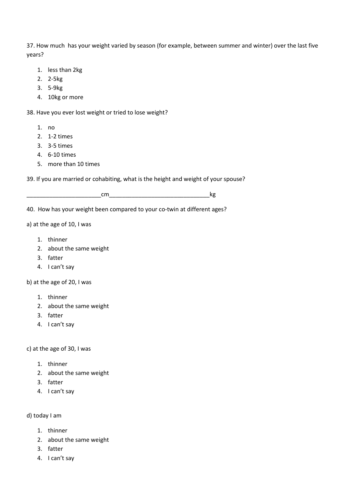37. How much has your weight varied by season (for example, between summer and winter) over the last five years?

- 1. less than 2kg
- 2. 2-5kg
- 3. 5-9kg
- 4. 10kg or more

38. Have you ever lost weight or tried to lose weight?

- 1. no
- 2. 1-2 times
- 3. 3-5 times
- 4. 6-10 times
- 5. more than 10 times

39. If you are married or cohabiting, what is the height and weight of your spouse?

\_\_\_\_\_\_\_\_\_\_\_\_\_\_\_\_\_\_\_\_\_\_\_cm\_\_\_\_\_\_\_\_\_\_\_\_\_\_\_\_\_\_\_\_\_\_\_\_\_\_\_\_\_\_\_kg

40. How has your weight been compared to your co-twin at different ages?

# a) at the age of 10, I was

- 1. thinner
- 2. about the same weight
- 3. fatter
- 4. I can't say

b) at the age of 20, I was

- 1. thinner
- 2. about the same weight
- 3. fatter
- 4. I can't say

c) at the age of 30, I was

- 1. thinner
- 2. about the same weight
- 3. fatter
- 4. I can't say

# d) today I am

- 1. thinner
- 2. about the same weight
- 3. fatter
- 4. I can't say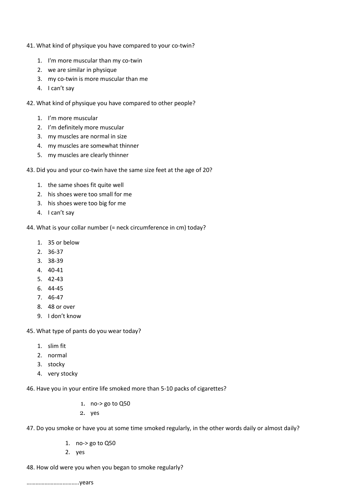- 41. What kind of physique you have compared to your co-twin?
	- 1. I'm more muscular than my co-twin
	- 2. we are similar in physique
	- 3. my co-twin is more muscular than me
	- 4. I can't say
- 42. What kind of physique you have compared to other people?
	- 1. I'm more muscular
	- 2. I'm definitely more muscular
	- 3. my muscles are normal in size
	- 4. my muscles are somewhat thinner
	- 5. my muscles are clearly thinner
- 43. Did you and your co-twin have the same size feet at the age of 20?
	- 1. the same shoes fit quite well
	- 2. his shoes were too small for me
	- 3. his shoes were too big for me
	- 4. I can't say
- 44. What is your collar number (= neck circumference in cm) today?
	- 1. 35 or below
	- 2. 36-37
	- 3. 38-39
	- 4. 40-41
	- 5. 42-43
	- 6. 44-45
	- 7. 46-47
	- 8. 48 or over
	- 9. I don't know
- 45. What type of pants do you wear today?
	- 1. slim fit
	- 2. normal
	- 3. stocky
	- 4. very stocky

46. Have you in your entire life smoked more than 5-10 packs of cigarettes?

- 1. no-> go to Q50
- 2. yes
- 47. Do you smoke or have you at some time smoked regularly, in the other words daily or almost daily?
	- 1. no-> go to Q50
	- 2. yes
- 48. How old were you when you began to smoke regularly?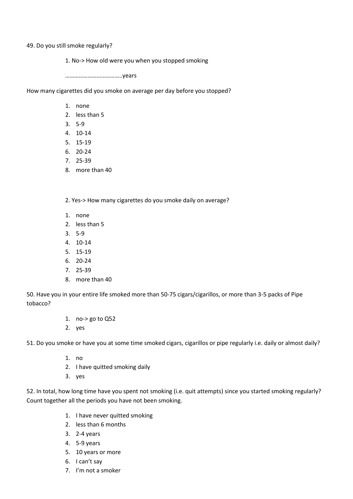49. Do you still smoke regularly?

1. No-> How old were you when you stopped smoking

………………………………..years

How many cigarettes did you smoke on average per day before you stopped?

- 1. none
- 2. less than 5
- 3. 5-9
- 4. 10-14
- 5. 15-19
- 6. 20-24
- 7. 25-39
- 8. more than 40

2. Yes-> How many cigarettes do you smoke daily on average?

- 1. none
- 2. less than 5
- 3. 5-9
- 4. 10-14
- 5. 15-19
- 6. 20-24
- 7. 25-39
- 8. more than 40

50. Have you in your entire life smoked more than 50-75 cigars/cigarillos, or more than 3-5 packs of Pipe tobacco?

- 1. no-> go to Q52
- 2. yes

51. Do you smoke or have you at some time smoked cigars, cigarillos or pipe regularly i.e. daily or almost daily?

- 1. no
- 2. I have quitted smoking daily
- 3. yes

52. In total, how long time have you spent not smoking (i.e. quit attempts) since you started smoking regularly? Count together all the periods you have not been smoking.

- 1. I have never quitted smoking
- 2. less than 6 months
- 3. 2-4 years
- 4. 5-9 years
- 5. 10 years or more
- 6. I can't say
- 7. I'm not a smoker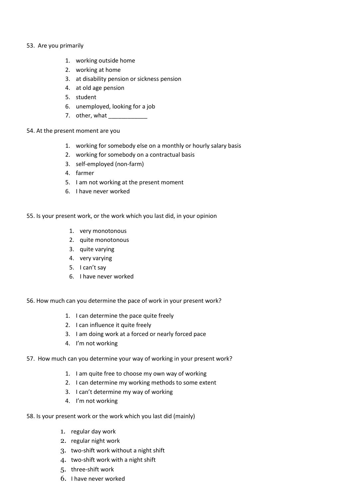# 53. Are you primarily

- 1. working outside home
- 2. working at home
- 3. at disability pension or sickness pension
- 4. at old age pension
- 5. student
- 6. unemployed, looking for a job
- 7. other, what

# 54. At the present moment are you

- 1. working for somebody else on a monthly or hourly salary basis
- 2. working for somebody on a contractual basis
- 3. self-employed (non-farm)
- 4. farmer
- 5. I am not working at the present moment
- 6. I have never worked

55. Is your present work, or the work which you last did, in your opinion

- 1. very monotonous
- 2. quite monotonous
- 3. quite varying
- 4. very varying
- 5. I can't say
- 6. I have never worked
- 56. How much can you determine the pace of work in your present work?
	- 1. I can determine the pace quite freely
	- 2. I can influence it quite freely
	- 3. I am doing work at a forced or nearly forced pace
	- 4. I'm not working
- 57. How much can you determine your way of working in your present work?
	- 1. I am quite free to choose my own way of working
	- 2. I can determine my working methods to some extent
	- 3. I can't determine my way of working
	- 4. I'm not working
- 58. Is your present work or the work which you last did (mainly)
	- 1. regular day work
	- 2. regular night work
	- 3. two-shift work without a night shift
	- 4. two-shift work with a night shift
	- 5. three-shift work
	- 6. I have never worked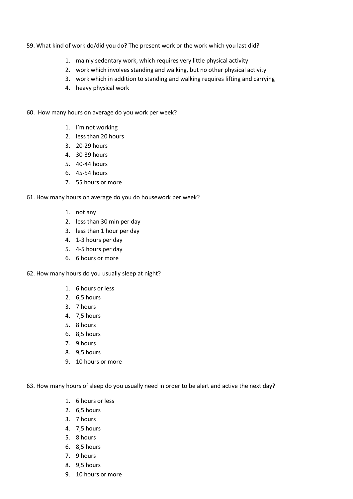#### 59. What kind of work do/did you do? The present work or the work which you last did?

- 1. mainly sedentary work, which requires very little physical activity
- 2. work which involves standing and walking, but no other physical activity
- 3. work which in addition to standing and walking requires lifting and carrying
- 4. heavy physical work
- 60. How many hours on average do you work per week?
	- 1. I'm not working
	- 2. less than 20 hours
	- 3. 20-29 hours
	- 4. 30-39 hours
	- 5. 40-44 hours
	- 6. 45-54 hours
	- 7. 55 hours or more

61. How many hours on average do you do housework per week?

- 1. not any
- 2. less than 30 min per day
- 3. less than 1 hour per day
- 4. 1-3 hours per day
- 5. 4-5 hours per day
- 6. 6 hours or more
- 62. How many hours do you usually sleep at night?
	- 1. 6 hours or less
	- 2. 6,5 hours
	- 3. 7 hours
	- 4. 7,5 hours
	- 5. 8 hours
	- 6. 8,5 hours
	- 7. 9 hours
	- 8. 9,5 hours
	- 9. 10 hours or more

63. How many hours of sleep do you usually need in order to be alert and active the next day?

- 1. 6 hours or less
- 2. 6,5 hours
- 3. 7 hours
- 4. 7,5 hours
- 5. 8 hours
- 6. 8,5 hours
- 7. 9 hours
- 8. 9,5 hours
- 9. 10 hours or more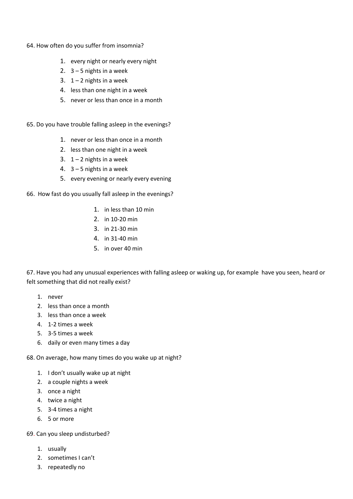- 64. How often do you suffer from insomnia?
	- 1. every night or nearly every night
	- 2.  $3 5$  nights in a week
	- 3.  $1 2$  nights in a week
	- 4. less than one night in a week
	- 5. never or less than once in a month

65. Do you have trouble falling asleep in the evenings?

- 1. never or less than once in a month
- 2. less than one night in a week
- 3.  $1 2$  nights in a week
- 4.  $3 5$  nights in a week
- 5. every evening or nearly every evening

66. How fast do you usually fall asleep in the evenings?

- 1. in less than 10 min
- 2. in 10-20 min
- 3. in 21-30 min
- 4. in 31-40 min
- 5. in over 40 min

67. Have you had any unusual experiences with falling asleep or waking up, for example have you seen, heard or felt something that did not really exist?

- 1. never
- 2. less than once a month
- 3. less than once a week
- 4. 1-2 times a week
- 5. 3-5 times a week
- 6. daily or even many times a day

68. On average, how many times do you wake up at night?

- 1. I don't usually wake up at night
- 2. a couple nights a week
- 3. once a night
- 4. twice a night
- 5. 3-4 times a night
- 6. 5 or more

69. Can you sleep undisturbed?

- 1. usually
- 2. sometimes I can't
- 3. repeatedly no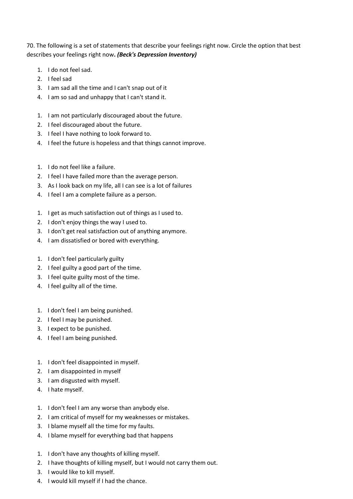70. The following is a set of statements that describe your feelings right now. Circle the option that best describes your feelings right now**.** *(Beck's Depression Inventory)*

- 1. I do not feel sad.
- 2. I feel sad
- 3. I am sad all the time and I can't snap out of it
- 4. I am so sad and unhappy that I can't stand it.
- 1. I am not particularly discouraged about the future.
- 2. I feel discouraged about the future.
- 3. I feel I have nothing to look forward to.
- 4. I feel the future is hopeless and that things cannot improve.
- 1. I do not feel like a failure.
- 2. I feel I have failed more than the average person.
- 3. As I look back on my life, all I can see is a lot of failures
- 4. I feel I am a complete failure as a person.
- 1. I get as much satisfaction out of things as I used to.
- 2. I don't enjoy things the way I used to.
- 3. I don't get real satisfaction out of anything anymore.
- 4. I am dissatisfied or bored with everything.
- 1. I don't feel particularly guilty
- 2. I feel guilty a good part of the time.
- 3. I feel quite guilty most of the time.
- 4. I feel guilty all of the time.
- 1. I don't feel I am being punished.
- 2. I feel I may be punished.
- 3. I expect to be punished.
- 4. I feel I am being punished.
- 1. I don't feel disappointed in myself.
- 2. I am disappointed in myself
- 3. I am disgusted with myself.
- 4. I hate myself.
- 1. I don't feel I am any worse than anybody else.
- 2. I am critical of myself for my weaknesses or mistakes.
- 3. I blame myself all the time for my faults.
- 4. I blame myself for everything bad that happens
- 1. I don't have any thoughts of killing myself.
- 2. I have thoughts of killing myself, but I would not carry them out.
- 3. I would like to kill myself.
- 4. I would kill myself if I had the chance.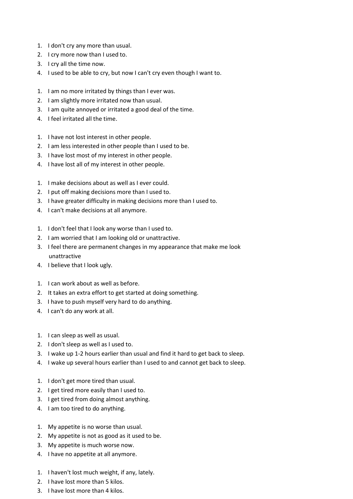- 1. I don't cry any more than usual.
- 2. I cry more now than I used to.
- 3. I cry all the time now.
- 4. I used to be able to cry, but now I can't cry even though I want to.
- 1. I am no more irritated by things than I ever was.
- 2. I am slightly more irritated now than usual.
- 3. I am quite annoyed or irritated a good deal of the time.
- 4. I feel irritated all the time.
- 1. I have not lost interest in other people.
- 2. I am less interested in other people than I used to be.
- 3. I have lost most of my interest in other people.
- 4. I have lost all of my interest in other people.
- 1. I make decisions about as well as I ever could.
- 2. I put off making decisions more than I used to.
- 3. I have greater difficulty in making decisions more than I used to.
- 4. I can't make decisions at all anymore.
- 1. I don't feel that I look any worse than I used to.
- 2. I am worried that I am looking old or unattractive.
- 3. I feel there are permanent changes in my appearance that make me look unattractive
- 4. I believe that I look ugly.
- 1. I can work about as well as before.
- 2. It takes an extra effort to get started at doing something.
- 3. I have to push myself very hard to do anything.
- 4. I can't do any work at all.
- 1. I can sleep as well as usual.
- 2. I don't sleep as well as I used to.
- 3. I wake up 1-2 hours earlier than usual and find it hard to get back to sleep.
- 4. I wake up several hours earlier than I used to and cannot get back to sleep.
- 1. I don't get more tired than usual.
- 2. I get tired more easily than I used to.
- 3. I get tired from doing almost anything.
- 4. I am too tired to do anything.
- 1. My appetite is no worse than usual.
- 2. My appetite is not as good as it used to be.
- 3. My appetite is much worse now.
- 4. I have no appetite at all anymore.
- 1. I haven't lost much weight, if any, lately.
- 2. I have lost more than 5 kilos.
- 3. I have lost more than 4 kilos.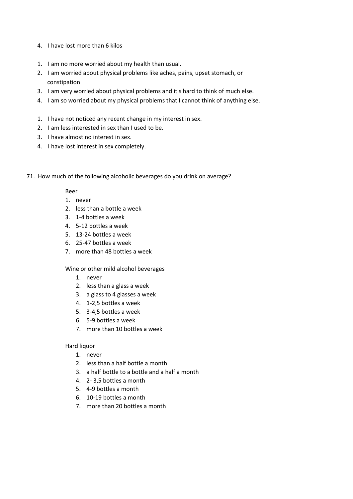- 4. I have lost more than 6 kilos
- 1. I am no more worried about my health than usual.
- 2. I am worried about physical problems like aches, pains, upset stomach, or constipation
- 3. I am very worried about physical problems and it's hard to think of much else.
- 4. I am so worried about my physical problems that I cannot think of anything else.
- 1. I have not noticed any recent change in my interest in sex.
- 2. I am less interested in sex than I used to be.
- 3. I have almost no interest in sex.
- 4. I have lost interest in sex completely.
- 71. How much of the following alcoholic beverages do you drink on average?

#### Beer

- 1. never
- 2. less than a bottle a week
- 3. 1-4 bottles a week
- 4. 5-12 bottles a week
- 5. 13-24 bottles a week
- 6. 25-47 bottles a week
- 7. more than 48 bottles a week

#### Wine or other mild alcohol beverages

- 1. never
- 2. less than a glass a week
- 3. a glass to 4 glasses a week
- 4. 1-2,5 bottles a week
- 5. 3-4,5 bottles a week
- 6. 5-9 bottles a week
- 7. more than 10 bottles a week

#### Hard liquor

- 1. never
- 2. less than a half bottle a month
- 3. a half bottle to a bottle and a half a month
- 4. 2- 3,5 bottles a month
- 5. 4-9 bottles a month
- 6. 10-19 bottles a month
- 7. more than 20 bottles a month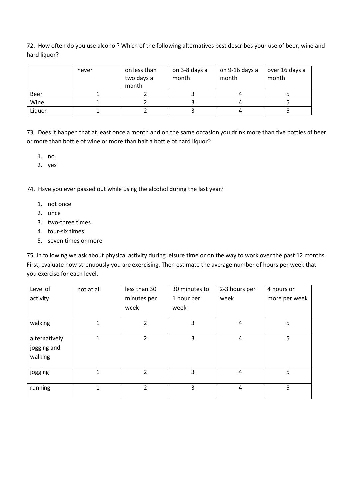72. How often do you use alcohol? Which of the following alternatives best describes your use of beer, wine and hard liquor?

|        | never | on less than<br>two days a<br>month | on 3-8 days a<br>month | on 9-16 days a<br>month | over 16 days a<br>month |
|--------|-------|-------------------------------------|------------------------|-------------------------|-------------------------|
| Beer   |       |                                     |                        |                         |                         |
| Wine   |       |                                     |                        |                         |                         |
| Liquor |       |                                     |                        |                         |                         |

73. Does it happen that at least once a month and on the same occasion you drink more than five bottles of beer or more than bottle of wine or more than half a bottle of hard liquor?

- 1. no
- 2. yes

74. Have you ever passed out while using the alcohol during the last year?

- 1. not once
- 2. once
- 3. two-three times
- 4. four-six times
- 5. seven times or more

75. In following we ask about physical activity during leisure time or on the way to work over the past 12 months. First, evaluate how strenuously you are exercising. Then estimate the average number of hours per week that you exercise for each level.

| Level of                                | not at all   | less than 30   | 30 minutes to | 2-3 hours per  | 4 hours or    |
|-----------------------------------------|--------------|----------------|---------------|----------------|---------------|
| activity                                |              | minutes per    | 1 hour per    | week           | more per week |
|                                         |              | week           | week          |                |               |
| walking                                 | 1            | 2              | 3             | 4              | 5             |
| alternatively<br>jogging and<br>walking | 1            | 2              | 3             | 4              | 5             |
| jogging                                 | $\mathbf{1}$ | $\overline{2}$ | 3             | $\overline{4}$ | 5             |
| running                                 | $\mathbf{1}$ | $\overline{2}$ | 3             | 4              | 5             |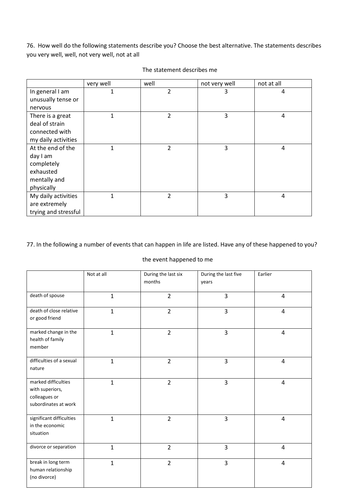76. How well do the following statements describe you? Choose the best alternative. The statements describes you very well, well, not very well, not at all

|                      | very well    | well | not very well | not at all     |
|----------------------|--------------|------|---------------|----------------|
| In general I am      | $\mathbf{1}$ | 2    | 3             | 4              |
| unusually tense or   |              |      |               |                |
| nervous              |              |      |               |                |
| There is a great     | $\mathbf{1}$ | 2    | 3             | $\overline{4}$ |
| deal of strain       |              |      |               |                |
| connected with       |              |      |               |                |
| my daily activities  |              |      |               |                |
| At the end of the    | 1            | 2    | 3             | 4              |
| day I am             |              |      |               |                |
| completely           |              |      |               |                |
| exhausted            |              |      |               |                |
| mentally and         |              |      |               |                |
| physically           |              |      |               |                |
| My daily activities  | 1            | 2    | 3             | 4              |
| are extremely        |              |      |               |                |
| trying and stressful |              |      |               |                |

#### The statement describes me

# 77. In the following a number of events that can happen in life are listed. Have any of these happened to you?

# the event happened to me

|                                                                                 | Not at all   | During the last six<br>months | During the last five<br>years | Earlier        |
|---------------------------------------------------------------------------------|--------------|-------------------------------|-------------------------------|----------------|
|                                                                                 |              |                               |                               |                |
| death of spouse                                                                 | $\mathbf{1}$ | $\overline{2}$                | $\overline{3}$                | $\overline{4}$ |
| death of close relative<br>or good friend                                       | $\mathbf{1}$ | $\overline{2}$                | $\overline{3}$                | $\overline{4}$ |
| marked change in the<br>health of family<br>member                              | $\mathbf{1}$ | $\overline{2}$                | $\overline{3}$                | 4              |
| difficulties of a sexual<br>nature                                              | $\mathbf{1}$ | $\overline{2}$                | $\overline{3}$                | 4              |
| marked difficulties<br>with superiors,<br>colleagues or<br>subordinates at work | $\mathbf{1}$ | $\overline{2}$                | 3                             | $\overline{4}$ |
| significant difficulties<br>in the economic<br>situation                        | $\mathbf{1}$ | $\overline{2}$                | $\overline{3}$                | $\overline{4}$ |
| divorce or separation                                                           | $\mathbf{1}$ | $\overline{2}$                | 3                             | $\pmb{4}$      |
| break in long term<br>human relationship<br>(no divorce)                        | $\mathbf{1}$ | $\overline{2}$                | $\overline{3}$                | 4              |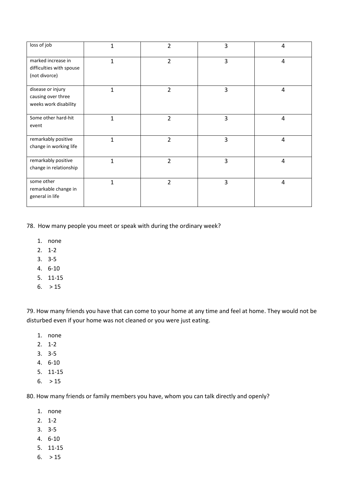| loss of job                                                      | $\mathbf 1$    | $\overline{2}$ | 3 | 4 |
|------------------------------------------------------------------|----------------|----------------|---|---|
| marked increase in<br>difficulties with spouse<br>(not divorce)  | $\mathbf{1}$   | 2              | 3 | 4 |
| disease or injury<br>causing over three<br>weeks work disability | $\mathbf{1}$   | $\overline{2}$ | 3 | 4 |
| Some other hard-hit<br>event                                     | $\overline{1}$ | 2              | 3 | 4 |
| remarkably positive<br>change in working life                    | $\mathbf{1}$   | $\overline{2}$ | 3 | 4 |
| remarkably positive<br>change in relationship                    | $\mathbf{1}$   | $\overline{2}$ | 3 | 4 |
| some other<br>remarkable change in<br>general in life            | $\mathbf{1}$   | $\overline{2}$ | 3 | 4 |

78. How many people you meet or speak with during the ordinary week?

- 1. none
- 2. 1-2
- 3. 3-5
- 4. 6-10
- 5. 11-15
- $6. > 15$

79. How many friends you have that can come to your home at any time and feel at home. They would not be disturbed even if your home was not cleaned or you were just eating.

- 1. none
- 2. 1-2
- 3. 3-5
- 4. 6-10
- 5. 11-15
- $6. > 15$

80. How many friends or family members you have, whom you can talk directly and openly?

- 1. none
- 2. 1-2
- 3. 3-5
- 4. 6-10
- 5. 11-15
- $6. > 15$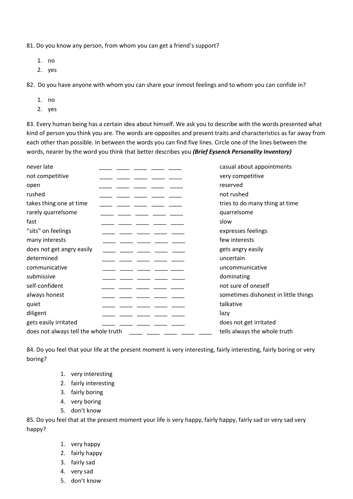81. Do you know any person, from whom you can get a friend's support?

- 1. no
- 2. yes

82. Do you have anyone with whom you can share your inmost feelings and to whom you can confide in?

- 1. no
- 2. yes

83. Every human being has a certain idea about himself. We ask you to describe with the words presented what kind of person you think you are. The words are opposites and present traits and characteristics as far away from each other than possible. In between the words you can find five lines. Circle one of the lines between the words, nearer by the word you think that better describes you *(Brief Eysenck Personality Inventory)*

| never late                           | casual about appointments            |
|--------------------------------------|--------------------------------------|
| not competitive                      | very competitive                     |
| open                                 | reserved                             |
| rushed                               | not rushed                           |
| takes thing one at time              | tries to do many thing at time       |
| rarely quarrelsome                   | quarrelsome                          |
| fast                                 | slow                                 |
| "sits" on feelings                   | expresses feelings                   |
| many interests                       | few interests                        |
| does not get angry easily            | gets angry easily                    |
| determined                           | uncertain                            |
| communicative                        | uncommunicative                      |
| submissive                           | dominating                           |
| self-confident                       | not sure of oneself                  |
| always honest                        | sometimes dishonest in little things |
| quiet                                | talkative                            |
| diligent                             | lazy                                 |
| gets easily irritated                | does not get irritated               |
| does not always tell the whole truth | tells always the whole truth         |
|                                      |                                      |

84. Do you feel that your life at the present moment is very interesting, fairly interesting, fairly boring or very boring?

- 1. very interesting
- 2. fairly interesting
- 3. fairly boring
- 4. very boring
- 5. don't know

85. Do you feel that at the present moment your life is very happy, fairly happy, fairly sad or very sad very happy?

- 1. very happy
- 2. fairly happy
- 3. fairly sad
- 4. very sad
- 5. don't know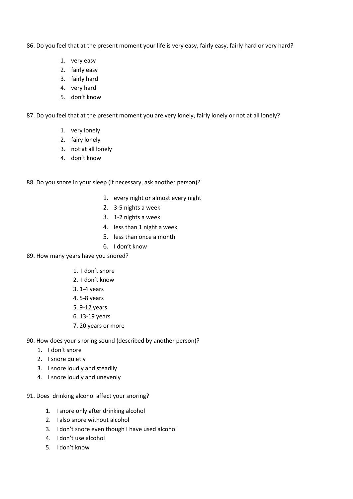86. Do you feel that at the present moment your life is very easy, fairly easy, fairly hard or very hard?

- 1. very easy
- 2. fairly easy
- 3. fairly hard
- 4. very hard
- 5. don't know

87. Do you feel that at the present moment you are very lonely, fairly lonely or not at all lonely?

- 1. very lonely
- 2. fairy lonely
- 3. not at all lonely
- 4. don't know
- 88. Do you snore in your sleep (if necessary, ask another person)?
	- 1. every night or almost every night
	- 2. 3-5 nights a week
	- 3. 1-2 nights a week
	- 4. less than 1 night a week
	- 5. less than once a month
	- 6. I don't know
- 89. How many years have you snored?
	- 1. I don't snore
	- 2. I don't know
	- 3. 1-4 years
	- 4. 5-8 years
	- 5. 9-12 years
	- 6. 13-19 years
	- 7. 20 years or more
- 90. How does your snoring sound (described by another person)?
	- 1. I don't snore
	- 2. I snore quietly
	- 3. I snore loudly and steadily
	- 4. I snore loudly and unevenly
- 91. Does drinking alcohol affect your snoring?
	- 1. I snore only after drinking alcohol
	- 2. I also snore without alcohol
	- 3. I don't snore even though I have used alcohol
	- 4. I don't use alcohol
	- 5. I don't know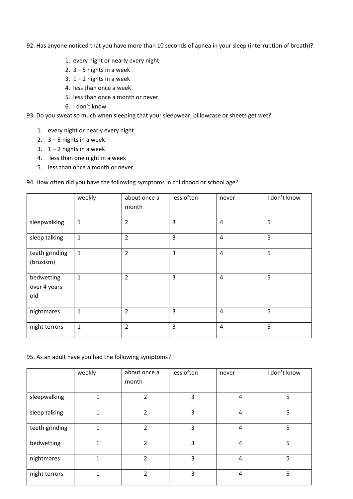- 92. Has anyone noticed that you have more than 10 seconds of apnea in your sleep (interruption of breath)?
	- 1. every night or nearly every night
	- 2.  $3 5$  nights in a week
	- 3.  $1 2$  nights in a week
	- 4. less than once a week
	- 5. less than once a month or never
	- 6. I don't know
- 93. Do you sweat so much when sleeping that your sleepwear, pillowcase or sheets get wet?
	- 1. every night or nearly every night
	- 2.  $3 5$  nights in a week
	- 3.  $1 2$  nights in a week
	- 4. less than one night in a week
	- 5. less than once a month or never

# 94. How often did you have the following symptoms in childhood or school age?

|                                   | weekly       | about once a<br>month | less often     | never          | I don't know |
|-----------------------------------|--------------|-----------------------|----------------|----------------|--------------|
| sleepwalking                      | $\mathbf 1$  | $\overline{2}$        | 3              | 4              | 5            |
| sleep talking                     | $\mathbf 1$  | $\overline{2}$        | 3              | $\overline{4}$ | 5            |
| teeth grinding<br>(bruxism)       | $\mathbf{1}$ | $\overline{2}$        | $\overline{3}$ | $\overline{4}$ | 5            |
| bedwetting<br>over 4 years<br>old | $\mathbf 1$  | $\overline{2}$        | $\overline{3}$ | $\overline{4}$ | 5            |
| nightmares                        | $\mathbf{1}$ | $\overline{2}$        | 3              | 4              | 5            |
| night terrors                     | $\mathbf 1$  | $\overline{2}$        | $\overline{3}$ | $\overline{4}$ | 5            |

# 95. As an adult have you had the following symptoms?

|                | weekly | about once a<br>month | less often | never | I don't know |
|----------------|--------|-----------------------|------------|-------|--------------|
| sleepwalking   | 1      | 2                     | 3          | 4     | 5            |
| sleep talking  | 1      | $\mathfrak{p}$        | 3          | 4     | 5            |
| teeth grinding | 1      | $\mathfrak z$         | 3          | 4     | 5            |
| bedwetting     | 1      | $\mathfrak z$         | 3          | 4     | 5            |
| nightmares     | 1      | 2                     | 3          | 4     | 5            |
| night terrors  | 1      | 2                     | 3          | 4     | 5            |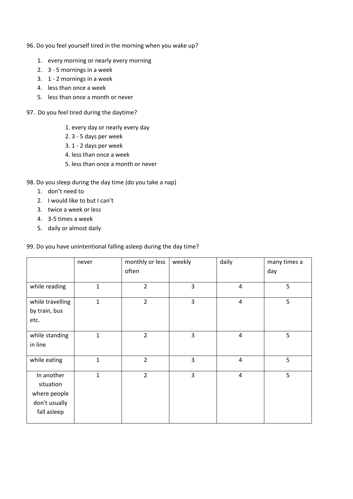- 96. Do you feel yourself tired in the morning when you wake up?
	- 1. every morning or nearly every morning
	- 2. 3 5 mornings in a week
	- 3. 1 2 mornings in a week
	- 4. less than once a week
	- 5. less than once a month or never
- 97. Do you feel tired during the daytime?
	- 1. every day or nearly every day
	- 2. 3 5 days per week
	- 3. 1 2 days per week
	- 4. less than once a week
	- 5. less than once a month or never

# 98. Do you sleep during the day time (do you take a nap)

- 1. don't need to
- 2. I would like to but I can't
- 3. twice a week or less
- 4. 3-5 times a week
- 5. daily or almost daily

# 99. Do you have unintentional falling asleep during the day time?

|                                                                         | never        | monthly or less<br>often | weekly         | daily          | many times a<br>day |
|-------------------------------------------------------------------------|--------------|--------------------------|----------------|----------------|---------------------|
| while reading                                                           | $\mathbf{1}$ | $\overline{2}$           | 3              | 4              | 5                   |
| while travelling<br>by train, bus<br>etc.                               | $\mathbf{1}$ | $\overline{2}$           | 3              | $\overline{4}$ | 5                   |
| while standing<br>in line                                               | $\mathbf{1}$ | $\overline{2}$           | 3              | 4              | 5                   |
| while eating                                                            | $\mathbf{1}$ | $\overline{2}$           | $\overline{3}$ | $\overline{4}$ | 5                   |
| In another<br>situation<br>where people<br>don't usually<br>fall asleep | $\mathbf{1}$ | $\overline{2}$           | 3              | $\overline{4}$ | 5                   |